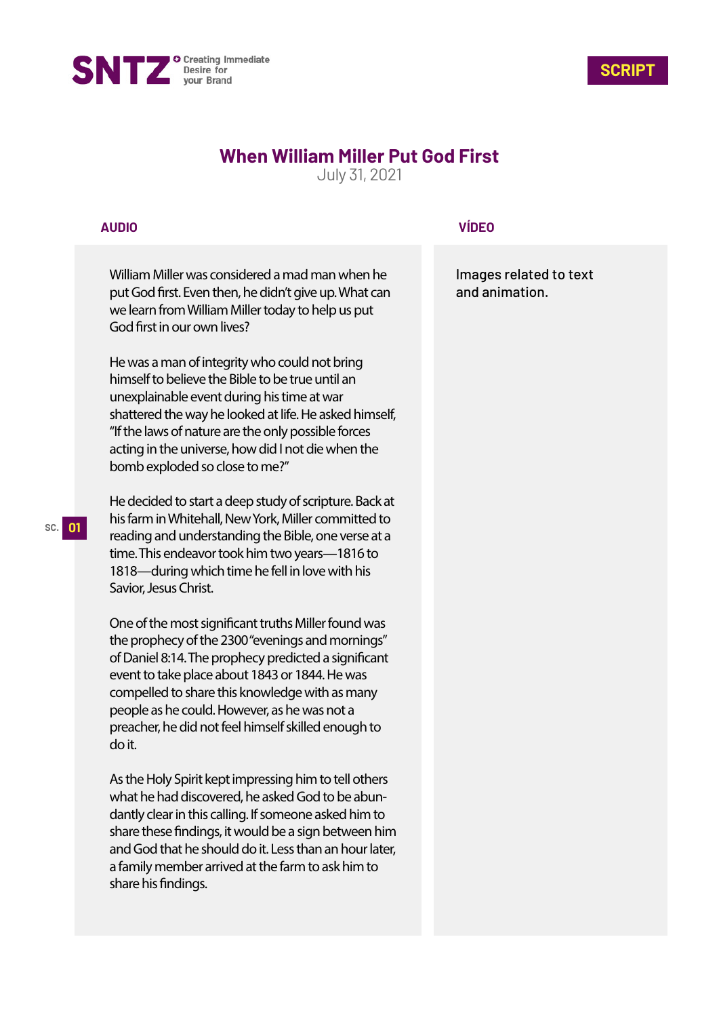



## **When William Miller Put God First**

July 31, 2021

## **AUDIO**

William Miller was considered a mad man when he put God first. Even then, he didn't give up. What can we learn from William Miller today to help us put God first in our own lives?

He was a man of integrity who could not bring himself to believe the Bible to be true until an unexplainable event during his time at war shattered the way he looked at life. He asked himself, "If the laws of nature are the only possible forces acting in the universe, how did I not die when the bomb exploded so close to me?"

He decided to start a deep study of scripture. Back at his farm in Whitehall, New York, Miller committed to reading and understanding the Bible, one verse at a time. This endeavor took him two years—1816 to 1818—during which time he fell in love with his Savior, Jesus Christ.

One of the most significant truths Miller found was the prophecy of the 2300 "evenings and mornings" of Daniel 8:14. The prophecy predicted a significant event to take place about 1843 or 1844. He was compelled to share this knowledge with as many people as he could. However, as he was not a preacher, he did not feel himself skilled enough to do it.

As the Holy Spirit kept impressing him to tell others what he had discovered, he asked God to be abundantly clear in this calling. If someone asked him to share these findings, it would be a sign between him and God that he should do it. Less than an hour later, a family member arrived at the farm to ask him to share his findings.

## **VÍDEO**

Images related to text and animation.